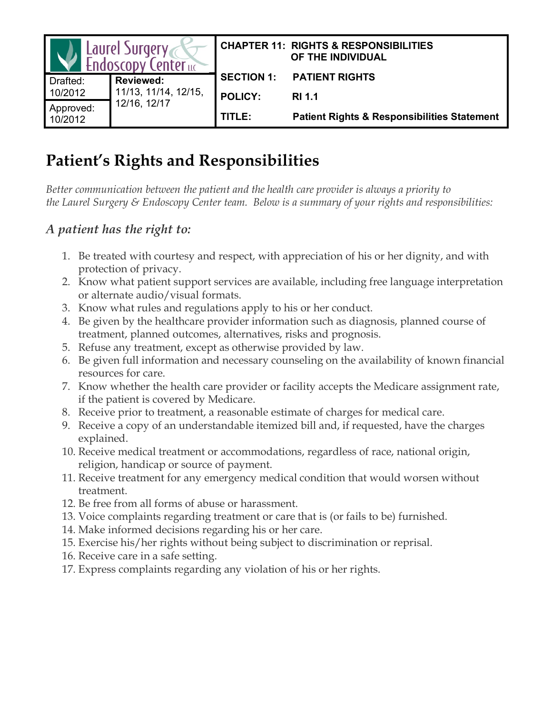| Laurel Surgery<br>Endoscopy Centeruc |                                      |                   | <b>CHAPTER 11: RIGHTS &amp; RESPONSIBILITIES</b><br>OF THE INDIVIDUAL |
|--------------------------------------|--------------------------------------|-------------------|-----------------------------------------------------------------------|
| Drafted:                             | <b>Reviewed:</b>                     | <b>SECTION 1:</b> | <b>PATIENT RIGHTS</b>                                                 |
| 10/2012                              | 11/13, 11/14, 12/15,<br>12/16, 12/17 | <b>POLICY:</b>    | <b>RI</b> 1.1                                                         |
| Approved:<br>10/2012                 |                                      | TITLE:            | <b>Patient Rights &amp; Responsibilities Statement</b>                |

# **Patient's Rights and Responsibilities**

*Better communication between the patient and the health care provider is always a priority to the Laurel Surgery & Endoscopy Center team. Below is a summary of your rights and responsibilities:*

#### *A patient has the right to:*

- 1. Be treated with courtesy and respect, with appreciation of his or her dignity, and with protection of privacy.
- 2. Know what patient support services are available, including free language interpretation or alternate audio/visual formats.
- 3. Know what rules and regulations apply to his or her conduct.
- 4. Be given by the healthcare provider information such as diagnosis, planned course of treatment, planned outcomes, alternatives, risks and prognosis.
- 5. Refuse any treatment, except as otherwise provided by law.
- 6. Be given full information and necessary counseling on the availability of known financial resources for care.
- 7. Know whether the health care provider or facility accepts the Medicare assignment rate, if the patient is covered by Medicare.
- 8. Receive prior to treatment, a reasonable estimate of charges for medical care.
- 9. Receive a copy of an understandable itemized bill and, if requested, have the charges explained.
- 10. Receive medical treatment or accommodations, regardless of race, national origin, religion, handicap or source of payment.
- 11. Receive treatment for any emergency medical condition that would worsen without treatment.
- 12. Be free from all forms of abuse or harassment.
- 13. Voice complaints regarding treatment or care that is (or fails to be) furnished.
- 14. Make informed decisions regarding his or her care.
- 15. Exercise his/her rights without being subject to discrimination or reprisal.
- 16. Receive care in a safe setting.
- 17. Express complaints regarding any violation of his or her rights.